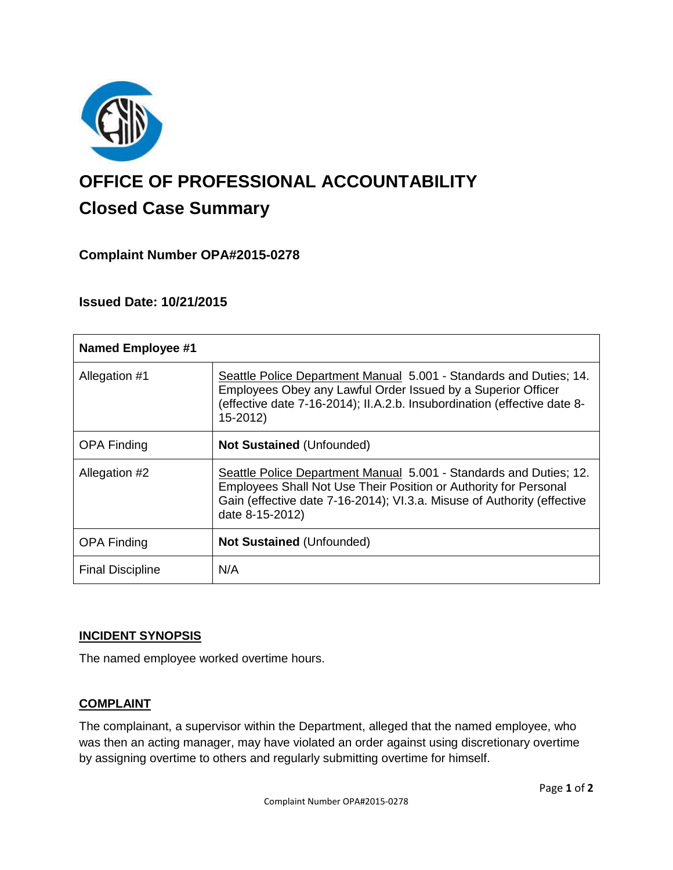

# **OFFICE OF PROFESSIONAL ACCOUNTABILITY Closed Case Summary**

# **Complaint Number OPA#2015-0278**

## **Issued Date: 10/21/2015**

| <b>Named Employee #1</b> |                                                                                                                                                                                                                                      |
|--------------------------|--------------------------------------------------------------------------------------------------------------------------------------------------------------------------------------------------------------------------------------|
| Allegation #1            | Seattle Police Department Manual 5.001 - Standards and Duties; 14.<br>Employees Obey any Lawful Order Issued by a Superior Officer<br>(effective date 7-16-2014); II.A.2.b. Insubordination (effective date 8-<br>15-2012)           |
| <b>OPA Finding</b>       | <b>Not Sustained (Unfounded)</b>                                                                                                                                                                                                     |
| Allegation #2            | Seattle Police Department Manual 5.001 - Standards and Duties; 12.<br>Employees Shall Not Use Their Position or Authority for Personal<br>Gain (effective date 7-16-2014); VI.3.a. Misuse of Authority (effective<br>date 8-15-2012) |
| <b>OPA Finding</b>       | <b>Not Sustained (Unfounded)</b>                                                                                                                                                                                                     |
| <b>Final Discipline</b>  | N/A                                                                                                                                                                                                                                  |

#### **INCIDENT SYNOPSIS**

The named employee worked overtime hours.

## **COMPLAINT**

The complainant, a supervisor within the Department, alleged that the named employee, who was then an acting manager, may have violated an order against using discretionary overtime by assigning overtime to others and regularly submitting overtime for himself.